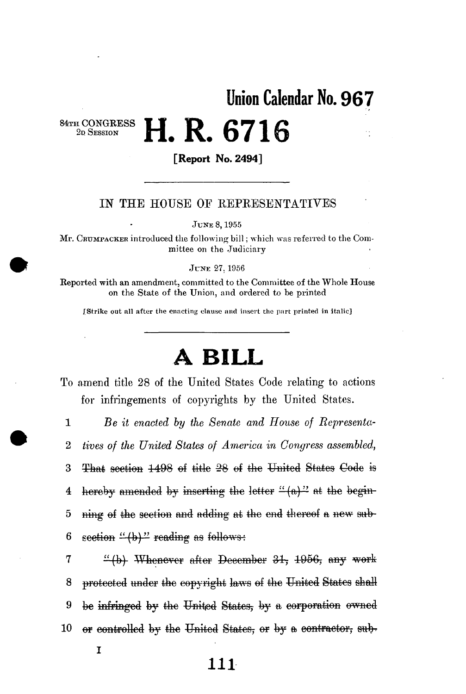**Union Calendar No. 96 7** 

**a CONGRESS H H H C F f f** 2D SESSION

## **[Report No. 2494]**

**1. A. O/ LO** 

## IN THE HOUSE OF REPRESENTATIVES

**JUNE 8,1955** 

**Mr. CRUMPACKER introduced the following bill; which was referred to the Committee on the Judiciary** 

**JUNE 27.1956** 

**Reported with an amendment, committed to the Committee of the Whole House on the State of the Union, and ordered to be printed** 

**rstxike out all after the enacting clause and insert the part printed in italic]** 

## **A BIL L**

To amend title 28 of the United States Code relating to actions for infringements of copyrights by the United States.

1 *Be it enacted by the Senate and House of Representa-*2 *tives of the United States of America in Congress assembled,*  3 That section  $1498$  of title 28 of the United States Code is 4 hereby amended by inserting the letter " $(a)$ " at the begin-5 ning of the section and adding at the end thereof a new sub-6 section  $\frac{1}{2}$  reading as follows:

7 " (b) Whenever after December 31, 1956, any work 8 protected imdcr the copyright laws ef the United States shall 9 be infringed by the United States, by a corporation owned 10 or controlled by the United States, or by a contractor, sub-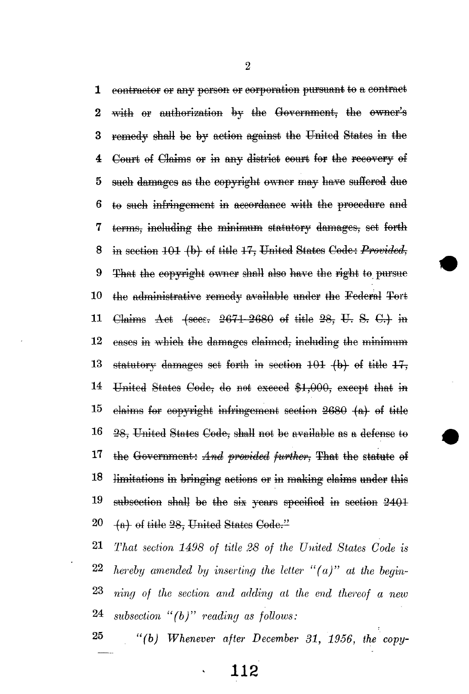contractor or any person or corporation pursuant to a contract 1 2 with or authorization by the Government, the owner's 3 remedy shall be by action against the United States in the **4** Court of Claims or in any district court for the recovery of 5 such damages as the copyright owner may have suffered due  $6$  to such infringement in accordance with the procedure and 7 terms, including the minimum statutory damages, set forth 8 in section 404 (b) of title 47, United States Code: *Provided*, 9 That the copyright owner shall also have the right to pursue 10 the administrative remedy available under the Federal Tort 11 Claims Act  $\{sees. 2671-2680 \text{ of title } 28, \text{U. S. C.} \}$  in 12 cases in which the damages claimed, including the minimum 13 statutory damages set forth in section  $101$  (b) of title  $17$ . 14 United States Code, do not exceed \$1,000, except that in  $15$  claims for copyright infringement section  $2680$   $(a)$  of title  $16$   $28$ , United States Code, shall not be available as a defense to 17 the Government: And provided further, That the statute of 18 limitations in bringing actions or in making claims under this  $19$  subsection shall be the six years specified in section  $2401$  $20 \text{ }$  (a) of title  $28$ , United States Code."

 *That section 1498 of title 28 of the United States Code is hereby amended by inserting the letter "(a)" at the begin- ning of the section and adding at the end thereof a new subsection "(b)" reading as follows:* 

25 *"(b) Whenever after December 31, 1956, the copy-*

**> 112**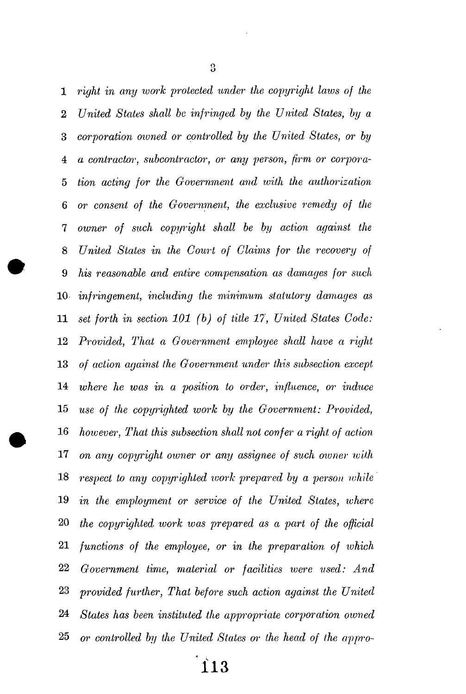*right in any ivork protected under the copyright laios of the United States shall be infringed by the United States, by a corporation owned or controlled by the United States, or by a contractor, subcontractor, or any person, firm or corpora- tion acting for the Government and with the authorization or consent of the Government, the exclusive remedy of the owner of such copyright shall be by action against the United States in the Court of Claims for the recovery of his reasonable and entire compensation as damages for such infringement, including the minimum statutory damages as set forth in section 101 (b) of title 17, United States Code: Provided, That a Government employee shall have a right of action against the Government under this subsection except where he was in a position to order, influence, or induce use of the copyrighted work by the Government: Provided, however, That this subsection shall not confer a right of action on any copyright owner or any assignee of such owner with respect to any copyrighted xuork prepared by a person while in the employment or service of the United States, where the copyrighted ivork was prepared as a part of the official functions of the employee, or in the preparation of which Government time, material or facilities loere used: And provided further, That before such action against the United States has been instituted the appropriate corporation owned or controlled by the United States or the head of the appro-*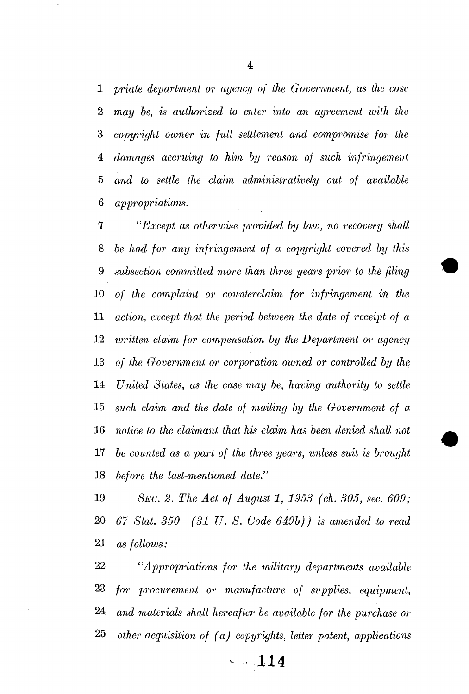*priate department or agency of the Government, as the case may be, is authorized to enter into an agreement with the copyright owner in full settlement and compromise for the damages accruing to him by reason of such infringement and to settle the claim administratively out of available appropriations.* 

<sup>7</sup> "*Except as otherwise provided by law, no recovery shall be had for any infringement of a copyright covered by this subsection committed more than three years prior to the filing of the complaint or counterclaim for infringement in the action, except that the period between the date of receipt of a luritten claim for compensation by the Department or agency of the Government or corporation owned or controlled by the United States, as the case may be, having authority to settle such claim and the date of mailing by the Government of a notice to the claimant that his claim has been denied shall not be counted as a part of the three years, unless suit is brought before the last-mentioned date."* 

 *SEC. 2. The Act of August 1, 1953 (ch. 305, sec. 609; 67 Stat. 350 (31 U. S. Code 649b)) is amended to read as follows:* 

 *"Appropriations for the military departments available for procurement or manufacture of supplies, equipment, and materials shall hereafter be available for the purchase or other acquisition of (a) copyrights, letter patent, applications* 

*- 114*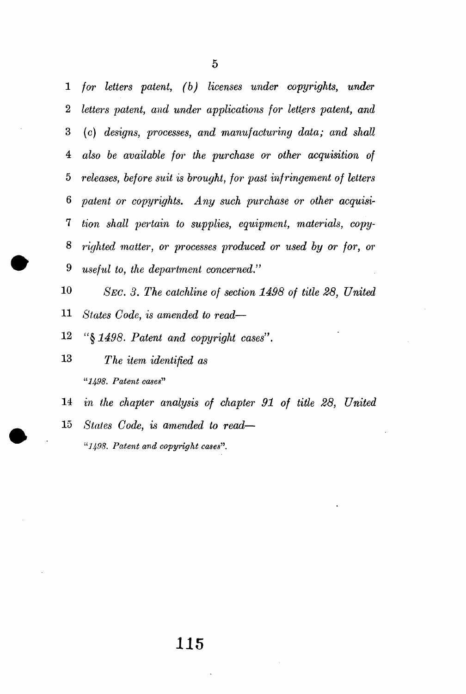*for letters patent, (b) licenses under copyrights, under letters patent, and under applications for letters patent, and*  3 (c) *designs, processes, and manufacturing data; and shall also be available for the purchase or other acquisition of releases, before suit is brought, for past infringement of letters patent or copyrights. Any such purchase or other acquisi- tion shall pertain to supplies, equipment, materials, copy- righted matter, or processes produced or used by or for, or useful to, the department concerned."* 

 *SEC. 3. The catchline of section 1498 of title 28, United States Code, is amended to read—* 

- 12 «§ *1498. Patent and copyright cases".*
- *The item identified as "1498. Patent cases"*
- *in the chapter analysis of chapter 91 of title 28, United*
- *States Code, is amended to read— "11(98. Patent and copyright cases'".*